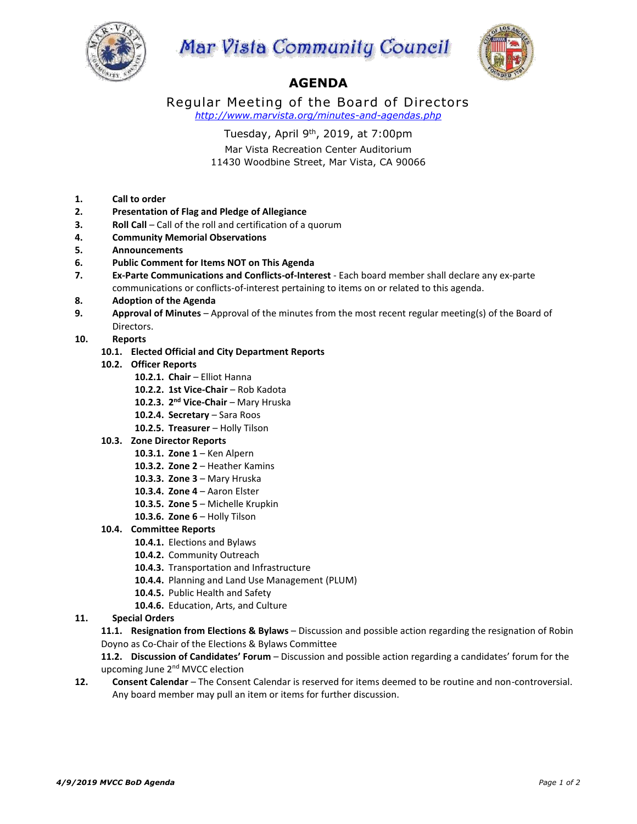





## **AGENDA**

Regular Meeting of the Board of Directors *http://www.marvista.org/minutes-and-agendas.php*

Tuesday, April 9<sup>th</sup>, 2019, at 7:00pm

Mar Vista Recreation Center Auditorium 11430 Woodbine Street, Mar Vista, CA 90066

- **1. Call to order**
- **2. Presentation of Flag and Pledge of Allegiance**
- **3. Roll Call** Call of the roll and certification of a quorum
- **4. Community Memorial Observations**
- **5. Announcements**
- **6. Public Comment for Items NOT on This Agenda**
- **7. Ex-Parte Communications and Conflicts-of-Interest** Each board member shall declare any ex-parte communications or conflicts-of-interest pertaining to items on or related to this agenda.
- **8. Adoption of the Agenda**
- **9. Approval of Minutes** Approval of the minutes from the most recent regular meeting(s) of the Board of Directors.
- **10. Reports**
	- **10.1. Elected Official and City Department Reports**
	- **10.2. Officer Reports**
		- **10.2.1. Chair** Elliot Hanna
		- **10.2.2. 1st Vice-Chair** Rob Kadota
		- **10.2.3. 2 nd Vice-Chair** Mary Hruska
		- **10.2.4. Secretary** Sara Roos
		- **10.2.5. Treasurer** Holly Tilson
	- **10.3. Zone Director Reports**
		- **10.3.1. Zone 1**  Ken Alpern
		- **10.3.2. Zone 2**  Heather Kamins
		- **10.3.3. Zone 3**  Mary Hruska
		- **10.3.4. Zone 4**  Aaron Elster
		- **10.3.5. Zone 5**  Michelle Krupkin
		- **10.3.6. Zone 6**  Holly Tilson

## **10.4. Committee Reports**

- **10.4.1.** Elections and Bylaws
- **10.4.2.** Community Outreach
- **10.4.3.** Transportation and Infrastructure
- **10.4.4.** Planning and Land Use Management (PLUM)
- **10.4.5.** Public Health and Safety
- **10.4.6.** Education, Arts, and Culture

## **11. Special Orders**

**11.1. Resignation from Elections & Bylaws** – Discussion and possible action regarding the resignation of Robin Doyno as Co-Chair of the Elections & Bylaws Committee

**11.2. Discussion of Candidates' Forum** – Discussion and possible action regarding a candidates' forum for the upcoming June 2<sup>nd</sup> MVCC election

**12. Consent Calendar** – The Consent Calendar is reserved for items deemed to be routine and non-controversial. Any board member may pull an item or items for further discussion.